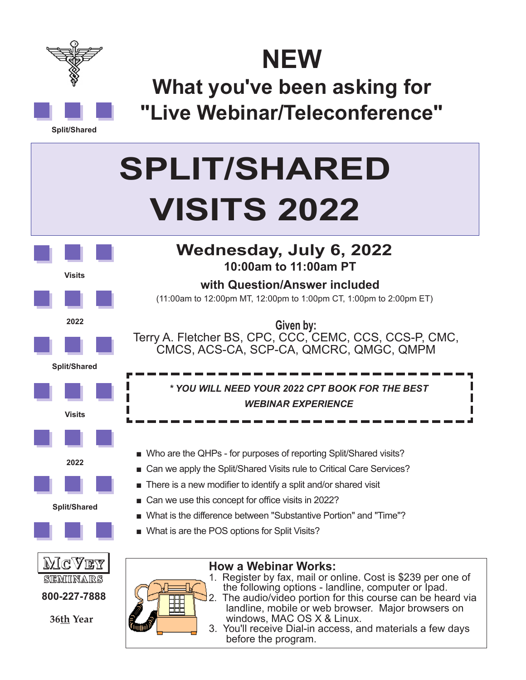

**NEW**

**What you've been asking for "Live Webinar/Teleconference"**

**Split/Shared**

## **SPLIT/SHARED VISITS 2022**





**10:00am to 11:00am PT**

**with Question/Answer included**

- Can we use this concept for office visits in 2022?
- What is the difference between "Substantive Portion" and "Time"?
- What is are the POS options for Split Visits?



**36th Year**

**How a Webinar Works:**

- 1. Register by fax, mail or online. Cost is \$239 per one of the following options - landline, computer or Ipad.
- 2. The audio/video portion for this course can be heard via landline, mobile or web browser. Major browsers on windows, MAC OS X & Linux.
- 3. You'll receive Dial-in access, and materials a few days before the program.